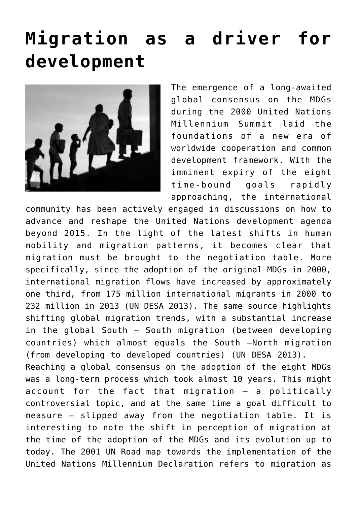## **[Migration as a driver for](https://arcadiareview.ro/migration-as-a-driver-to-development/) [development](https://arcadiareview.ro/migration-as-a-driver-to-development/)**



The emergence of a long-awaited global consensus on the MDGs during the 2000 United Nations Millennium Summit laid the foundations of a new era of worldwide cooperation and common development framework. With the imminent expiry of the eight time-bound goals rapidly approaching, the international

community has been actively engaged in discussions on how to advance and reshape the United Nations development agenda beyond 2015. In the light of the latest shifts in human mobility and migration patterns, it becomes clear that migration must be brought to the negotiation table. More specifically, since the adoption of the original MDGs in 2000, international migration flows have increased by approximately one third, from 175 million international migrants in 2000 to 232 million in 2013 (UN DESA 2013). The same source highlights shifting global migration trends, with a substantial increase in the global South – South migration (between developing countries) which almost equals the South –North migration (from developing to developed countries) (UN DESA 2013). Reaching a global consensus on the adoption of the eight MDGs was a long-term process which took almost 10 years. This might account for the fact that migration – a politically controversial topic, and at the same time a goal difficult to measure – slipped away from the negotiation table. It is interesting to note the shift in perception of migration at the time of the adoption of the MDGs and its evolution up to today. The 2001 UN Road map towards the implementation of the United Nations Millennium Declaration refers to migration as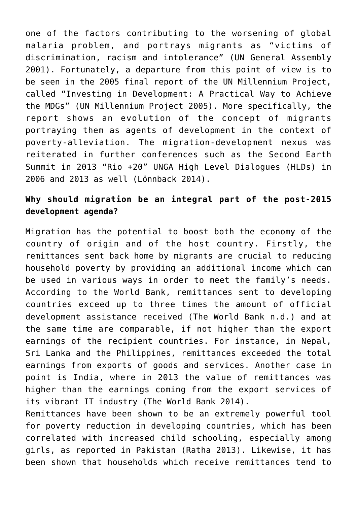one of the factors contributing to the worsening of global malaria problem, and portrays migrants as "victims of discrimination, racism and intolerance" (UN General Assembly 2001). Fortunately, a departure from this point of view is to be seen in the 2005 final report of the UN Millennium Project, called "Investing in Development: A Practical Way to Achieve the MDGs" (UN Millennium Project 2005). More specifically, the report shows an evolution of the concept of migrants portraying them as agents of development in the context of poverty-alleviation. The migration-development nexus was reiterated in further conferences such as the Second Earth Summit in 2013 "Rio +20" UNGA High Level Dialogues (HLDs) in 2006 and 2013 as well (Lönnback 2014).

## **Why should migration be an integral part of the post-2015 development agenda?**

Migration has the potential to boost both the economy of the country of origin and of the host country. Firstly, the remittances sent back home by migrants are crucial to reducing household poverty by providing an additional income which can be used in various ways in order to meet the family's needs. According to the World Bank, remittances sent to developing countries exceed up to three times the amount of official development assistance received (The World Bank n.d.) and at the same time are comparable, if not higher than the export earnings of the recipient countries. For instance, in Nepal, Sri Lanka and the Philippines, remittances exceeded the total earnings from exports of goods and services. Another case in point is India, where in 2013 the value of remittances was higher than the earnings coming from the export services of its vibrant IT industry (The World Bank 2014).

Remittances have been shown to be an extremely powerful tool for poverty reduction in developing countries, which has been correlated with increased child schooling, especially among girls, as reported in Pakistan (Ratha 2013). Likewise, it has been shown that households which receive remittances tend to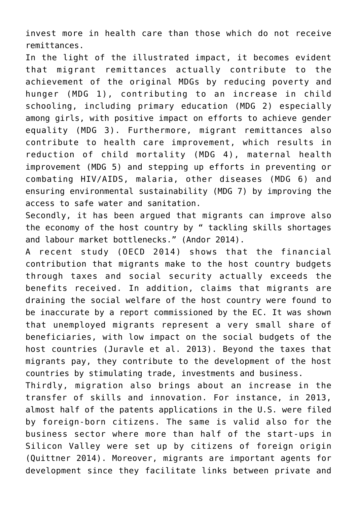invest more in health care than those which do not receive remittances.

In the light of the illustrated impact, it becomes evident that migrant remittances actually contribute to the achievement of the original MDGs by reducing poverty and hunger (MDG 1), contributing to an increase in child schooling, including primary education (MDG 2) especially among girls, with positive impact on efforts to achieve gender equality (MDG 3). Furthermore, migrant remittances also contribute to health care improvement, which results in reduction of child mortality (MDG 4), maternal health improvement (MDG 5) and stepping up efforts in preventing or combating HIV/AIDS, malaria, other diseases (MDG 6) and ensuring environmental sustainability (MDG 7) by improving the access to safe water and sanitation.

Secondly, it has been argued that migrants can improve also the economy of the host country by " tackling skills shortages and labour market bottlenecks." (Andor 2014).

A recent study (OECD 2014) shows that the financial contribution that migrants make to the host country budgets through taxes and social security actually exceeds the benefits received. In addition, claims that migrants are draining the social welfare of the host country were found to be inaccurate by a report commissioned by the EC. It was shown that unemployed migrants represent a very small share of beneficiaries, with low impact on the social budgets of the host countries (Juravle et al. 2013). Beyond the taxes that migrants pay, they contribute to the development of the host countries by stimulating trade, investments and business.

Thirdly, migration also brings about an increase in the transfer of skills and innovation. For instance, in 2013, almost half of the patents applications in the U.S. were filed by foreign-born citizens. The same is valid also for the business sector where more than half of the start-ups in Silicon Valley were set up by citizens of foreign origin (Quittner 2014). Moreover, migrants are important agents for development since they facilitate links between private and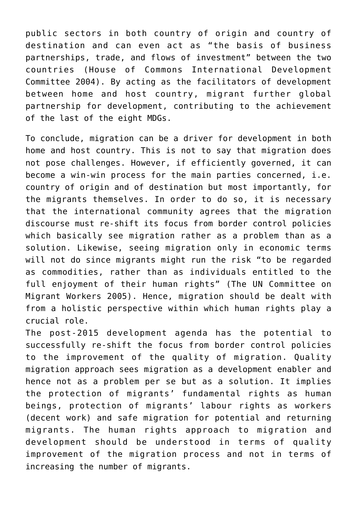public sectors in both country of origin and country of destination and can even act as "the basis of business partnerships, trade, and flows of investment" between the two countries (House of Commons International Development Committee 2004). By acting as the facilitators of development between home and host country, migrant further global partnership for development, contributing to the achievement of the last of the eight MDGs.

To conclude, migration can be a driver for development in both home and host country. This is not to say that migration does not pose challenges. However, if efficiently governed, it can become a win-win process for the main parties concerned, i.e. country of origin and of destination but most importantly, for the migrants themselves. In order to do so, it is necessary that the international community agrees that the migration discourse must re-shift its focus from border control policies which basically see migration rather as a problem than as a solution. Likewise, seeing migration only in economic terms will not do since migrants might run the risk "to be regarded as commodities, rather than as individuals entitled to the full enjoyment of their human rights" (The UN Committee on Migrant Workers 2005). Hence, migration should be dealt with from a holistic perspective within which human rights play a crucial role.

The post-2015 development agenda has the potential to successfully re-shift the focus from border control policies to the improvement of the quality of migration. Quality migration approach sees migration as a development enabler and hence not as a problem per se but as a solution. It implies the protection of migrants' fundamental rights as human beings, protection of migrants' labour rights as workers (decent work) and safe migration for potential and returning migrants. The human rights approach to migration and development should be understood in terms of quality improvement of the migration process and not in terms of increasing the number of migrants.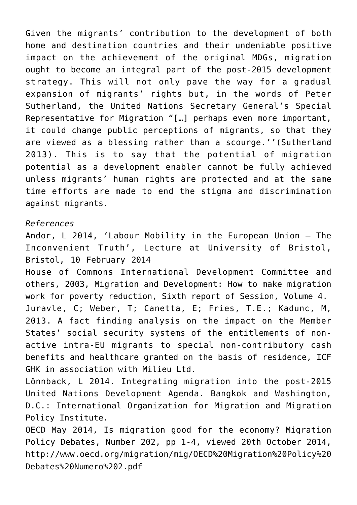Given the migrants' contribution to the development of both home and destination countries and their undeniable positive impact on the achievement of the original MDGs, migration ought to become an integral part of the post-2015 development strategy. This will not only pave the way for a gradual expansion of migrants' rights but, in the words of Peter Sutherland, the United Nations Secretary General's Special Representative for Migration "[…] perhaps even more important, it could change public perceptions of migrants, so that they are viewed as a blessing rather than a scourge.''(Sutherland 2013). This is to say that the potential of migration potential as a development enabler cannot be fully achieved unless migrants' human rights are protected and at the same time efforts are made to end the stigma and discrimination against migrants.

## *References*

Andor, L 2014, 'Labour Mobility in the European Union – The Inconvenient Truth', Lecture at University of Bristol, Bristol, 10 February 2014

House of Commons International Development Committee and others, 2003, Migration and Development: How to make migration work for poverty reduction, Sixth report of Session, Volume 4. Juravle, C; Weber, T; Canetta, E; Fries, T.E.; Kadunc, M, 2013. A fact finding analysis on the impact on the Member States' social security systems of the entitlements of nonactive intra-EU migrants to special non-contributory cash benefits and healthcare granted on the basis of residence, ICF GHK in association with Milieu Ltd.

Lönnback, L 2014. Integrating migration into the post-2015 United Nations Development Agenda. Bangkok and Washington, D.C.: International Organization for Migration and Migration Policy Institute.

OECD May 2014, Is migration good for the economy? Migration Policy Debates, Number 202, pp 1-4, viewed 20th October 2014, http://www.oecd.org/migration/mig/OECD%20Migration%20Policy%20 Debates%20Numero%202.pdf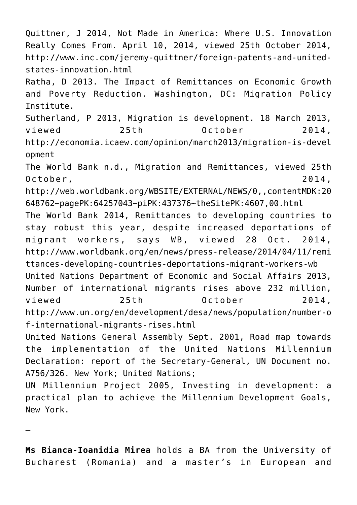Quittner, J 2014, Not Made in America: Where U.S. Innovation Really Comes From. April 10, 2014, viewed 25th October 2014, http://www.inc.com/jeremy-quittner/foreign-patents-and-unitedstates-innovation.html

Ratha, D 2013. The Impact of Remittances on Economic Growth and Poverty Reduction. Washington, DC: Migration Policy Institute.

Sutherland, P 2013, Migration is development. 18 March 2013, viewed 25th October 2014, http://economia.icaew.com/opinion/march2013/migration-is-devel opment

The World Bank n.d., Migration and Remittances, viewed 25th October, 2014,

http://web.worldbank.org/WBSITE/EXTERNAL/NEWS/0,,contentMDK:20 648762~pagePK:64257043~piPK:437376~theSitePK:4607,00.html

The World Bank 2014, Remittances to developing countries to stay robust this year, despite increased deportations of migrant workers, says WB, viewed 28 Oct. 2014, http://www.worldbank.org/en/news/press-release/2014/04/11/remi ttances-developing-countries-deportations-migrant-workers-wb United Nations Department of Economic and Social Affairs 2013, Number of international migrants rises above 232 million, viewed 25th October 2014, http://www.un.org/en/development/desa/news/population/number-o f-international-migrants-rises.html

United Nations General Assembly Sept. 2001, Road map towards the implementation of the United Nations Millennium Declaration: report of the Secretary-General, UN Document no. A756/326. New York; United Nations;

UN Millennium Project 2005, Investing in development: a practical plan to achieve the Millennium Development Goals, New York.

—

**Ms Bianca-Ioanidia Mirea** holds a BA from the University of Bucharest (Romania) and a master's in European and